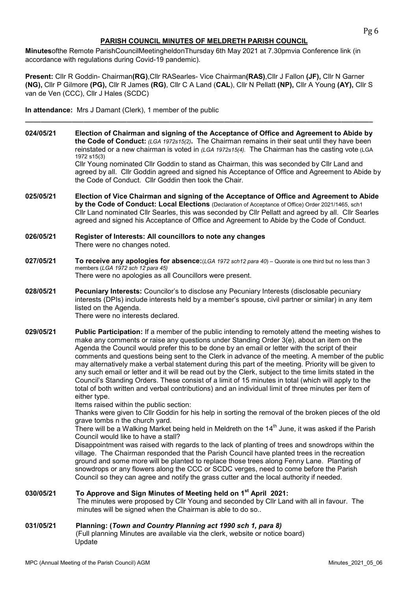# PARISH COUNCIL MINUTES OF MELDRETH PARISH COUNCIL

Minutesofthe Remote ParishCouncilMeetingheldonThursday 6th May 2021 at 7.30pmvia Conference link (in accordance with regulations during Covid-19 pandemic).

Present: Cllr R Goddin- Chairman(RG), Cllr RASearles- Vice Chairman(RAS), Cllr J Fallon (JF), Cllr N Garner (NG), Cllr P Gilmore (PG), Cllr R James (RG), Cllr C A Land (CAL), Cllr N Pellatt (NP), Cllr A Young (AY), Cllr S van de Ven (CCC), Cllr J Hales (SCDC)

\_\_\_\_\_\_\_\_\_\_\_\_\_\_\_\_\_\_\_\_\_\_\_\_\_\_\_\_\_\_\_\_\_\_\_\_\_\_\_\_\_\_\_\_\_\_\_\_\_\_\_\_\_\_\_\_\_\_\_\_\_\_\_\_\_\_\_\_\_\_\_\_\_\_\_\_\_\_\_\_\_\_\_\_\_\_\_\_\_

In attendance: Mrs J Damant (Clerk), 1 member of the public

- 024/05/21 Election of Chairman and signing of the Acceptance of Office and Agreement to Abide by the Code of Conduct:  $(LGA 1972s15(2))$ . The Chairman remains in their seat until they have been reinstated or a new chairman is voted in  $(LGA 1972s1544)$ . The Chairman has the casting vote (LGA 1972 s15(3) Cllr Young nominated Cllr Goddin to stand as Chairman, this was seconded by Cllr Land and agreed by all. Cllr Goddin agreed and signed his Acceptance of Office and Agreement to Abide by the Code of Conduct. Cllr Goddin then took the Chair.
- 025/05/21 Election of Vice Chairman and signing of the Acceptance of Office and Agreement to Abide by the Code of Conduct: Local Elections (Declaration of Acceptance of Office) Order 2021/1465, sch1 Cllr Land nominated Cllr Searles, this was seconded by Cllr Pellatt and agreed by all. Cllr Searles agreed and signed his Acceptance of Office and Agreement to Abide by the Code of Conduct.
- 026/05/21 Register of Interests: All councillors to note any changes There were no changes noted.
- 027/05/21 To receive any apologies for absence: (LGA 1972 sch12 para 40) Quorate is one third but no less than 3 members (LGA 1972 sch 12 para 45) There were no apologies as all Councillors were present.
- 028/05/21 Pecuniary Interests: Councilor's to disclose any Pecuniary Interests (disclosable pecuniary interests (DPIs) include interests held by a member's spouse, civil partner or similar) in any item listed on the Agenda. There were no interests declared.
- 029/05/21 Public Participation: If a member of the public intending to remotely attend the meeting wishes to make any comments or raise any questions under Standing Order 3(e), about an item on the Agenda the Council would prefer this to be done by an email or letter with the script of their comments and questions being sent to the Clerk in advance of the meeting. A member of the public may alternatively make a verbal statement during this part of the meeting. Priority will be given to any such email or letter and it will be read out by the Clerk, subject to the time limits stated in the Council's Standing Orders. These consist of a limit of 15 minutes in total (which will apply to the total of both written and verbal contributions) and an individual limit of three minutes per item of either type.

Items raised within the public section:

Thanks were given to Cllr Goddin for his help in sorting the removal of the broken pieces of the old grave tombs n the church yard.

There will be a Walking Market being held in Meldreth on the 14 $^{\rm th}$  June, it was asked if the Parish Council would like to have a stall?

Disappointment was raised with regards to the lack of planting of trees and snowdrops within the village. The Chairman responded that the Parish Council have planted trees in the recreation ground and some more will be planted to replace those trees along Fenny Lane. Planting of snowdrops or any flowers along the CCC or SCDC verges, need to come before the Parish Council so they can agree and notify the grass cutter and the local authority if needed.

# 030/05/21 To Approve and Sign Minutes of Meeting held on 1<sup>st</sup> April 2021:

The minutes were proposed by Cllr Young and seconded by Cllr Land with all in favour. The minutes will be signed when the Chairman is able to do so..

# 031/05/21 Planning: (Town and Country Planning act 1990 sch 1, para 8)

 (Full planning Minutes are available via the clerk, website or notice board) Update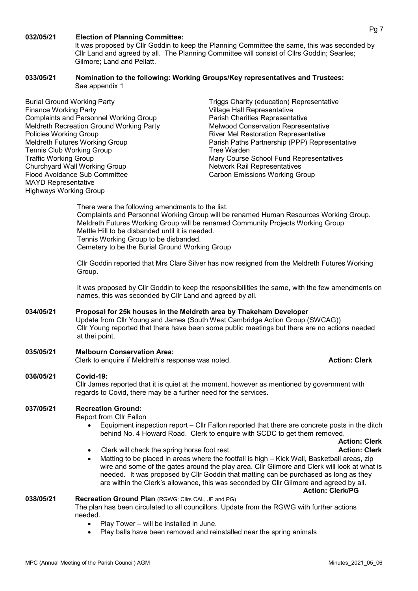#### 032/05/21 Election of Planning Committee:

It was proposed by Cllr Goddin to keep the Planning Committee the same, this was seconded by Cllr Land and agreed by all. The Planning Committee will consist of Cllrs Goddin; Searles; Gilmore; Land and Pellatt.

#### 033/05/21 Nomination to the following: Working Groups/Key representatives and Trustees: See appendix 1

Burial Ground Working Party Triggs Charity (education) Representative Finance Working Party Village Hall Representative Complaints and Personnel Working Group Parish Charities Representative Meldreth Recreation Ground Working Party Melwood Conservation Representative Policies Working Group **River Mel Restoration Representative** River Mel Restoration Representative Tennis Club Working Group Tree Warden Churchyard Wall Working Group<br>
Flood Avoidance Sub Committee Manuel Representatives<br>
Carbon Emissions Working Gi MAYD Representative Highways Working Group

Meldreth Futures Working Group **Parish Paths Partnership (PPP) Representative** Traffic Working Group **Mary Course School Fund Representatives** Mary Course School Fund Representatives Carbon Emissions Working Group

> There were the following amendments to the list. Complaints and Personnel Working Group will be renamed Human Resources Working Group. Meldreth Futures Working Group will be renamed Community Projects Working Group Mettle Hill to be disbanded until it is needed. Tennis Working Group to be disbanded. Cemetery to be the Burial Ground Working Group

> Cllr Goddin reported that Mrs Clare Silver has now resigned from the Meldreth Futures Working Group.

It was proposed by Cllr Goddin to keep the responsibilities the same, with the few amendments on names, this was seconded by Cllr Land and agreed by all.

# 034/05/21 Proposal for 25k houses in the Meldreth area by Thakeham Developer Update from Cllr Young and James (South West Cambridge Action Group (SWCAG)) Cllr Young reported that there have been some public meetings but there are no actions needed at thei point.

# 035/05/21 Melbourn Conservation Area:

Clerk to enquire if Meldreth's response was noted. Action: Clerk and the Mechanic Clerk

# 036/05/21 Covid-19:

Cllr James reported that it is quiet at the moment, however as mentioned by government with regards to Covid, there may be a further need for the services.

# 037/05/21 Recreation Ground:

Report from Cllr Fallon

- Equipment inspection report Cllr Fallon reported that there are concrete posts in the ditch behind No. 4 Howard Road. Clerk to enquire with SCDC to get them removed.
	- Action: Clerk
- Clerk will check the spring horse foot rest. Action: Clerk Action: Clerk
- Matting to be placed in areas where the footfall is high Kick Wall, Basketball areas, zip wire and some of the gates around the play area. Cllr Gilmore and Clerk will look at what is needed. It was proposed by Cllr Goddin that matting can be purchased as long as they are within the Clerk's allowance, this was seconded by Cllr Gilmore and agreed by all. Action: Clerk/PG

#### 038/05/21 Recreation Ground Plan (RGWG: Cllrs CAL, JF and PG)

The plan has been circulated to all councillors. Update from the RGWG with further actions needed.

- Play Tower will be installed in June.
- Play balls have been removed and reinstalled near the spring animals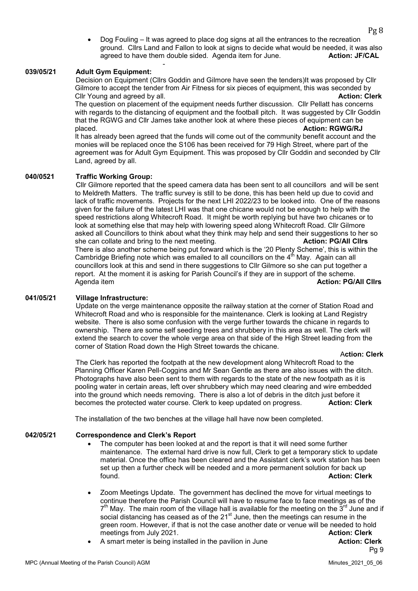Dog Fouling – It was agreed to place dog signs at all the entrances to the recreation ground. Cllrs Land and Fallon to look at signs to decide what would be needed, it was also agreed to have them double sided. Agenda item for June. **Action: JF/CAL** -

### 039/05/21 Adult Gym Equipment:

Decision on Equipment (Cllrs Goddin and Gilmore have seen the tenders)It was proposed by Cllr Gilmore to accept the tender from Air Fitness for six pieces of equipment, this was seconded by Cllr Young and agreed by all. Action: Clerk and agreed by all.

The question on placement of the equipment needs further discussion. Cllr Pellatt has concerns with regards to the distancing of equipment and the football pitch. It was suggested by Cllr Goddin that the RGWG and Cllr James take another look at where these pieces of equipment can be placed. **Action: RGWG/RJ placed.** Action: RGWG/RJ **Placed.** Action: RGWG/RJ **Placed.** 

It has already been agreed that the funds will come out of the community benefit account and the monies will be replaced once the S106 has been received for 79 High Street, where part of the agreement was for Adult Gym Equipment. This was proposed by Cllr Goddin and seconded by Cllr Land, agreed by all.

#### 040/0521 Traffic Working Group:

Cllr Gilmore reported that the speed camera data has been sent to all councillors and will be sent to Meldreth Matters. The traffic survey is still to be done, this has been held up due to covid and lack of traffic movements. Projects for the next LHI 2022/23 to be looked into. One of the reasons given for the failure of the latest LHI was that one chicane would not be enough to help with the speed restrictions along Whitecroft Road. It might be worth replying but have two chicanes or to look at something else that may help with lowering speed along Whitecroft Road. Cllr Gilmore asked all Councillors to think about what they think may help and send their suggestions to her so she can collate and bring to the next meeting. The next control of the next of the next meeting. There is also another scheme being put forward which is the '20 Plenty Scheme', this is within the Cambridge Briefing note which was emailed to all councillors on the  $4<sup>th</sup>$  May. Again can all councillors look at this and send in there suggestions to Cllr Gilmore so she can put together a report. At the moment it is asking for Parish Council's if they are in support of the scheme. Agenda item **Action: PG/All Clirs** Action: PG/All Clirs Action: PG/All Clirs Action: PG/All Clirs

#### 041/05/21 Village Infrastructure:

 Update on the verge maintenance opposite the railway station at the corner of Station Road and Whitecroft Road and who is responsible for the maintenance. Clerk is looking at Land Registry website. There is also some confusion with the verge further towards the chicane in regards to ownership. There are some self seeding trees and shrubbery in this area as well. The clerk will extend the search to cover the whole verge area on that side of the High Street leading from the corner of Station Road down the High Street towards the chicane.

#### Action: Clerk

 The Clerk has reported the footpath at the new development along Whitecroft Road to the Planning Officer Karen Pell-Coggins and Mr Sean Gentle as there are also issues with the ditch. Photographs have also been sent to them with regards to the state of the new footpath as it is pooling water in certain areas, left over shrubbery which may need clearing and wire embedded into the ground which needs removing. There is also a lot of debris in the ditch just before it becomes the protected water course. Clerk to keep updated on progress. **Action: Clerk** 

The installation of the two benches at the village hall have now been completed.

#### 042/05/21 Correspondence and Clerk's Report

- The computer has been looked at and the report is that it will need some further maintenance. The external hard drive is now full, Clerk to get a temporary stick to update material. Once the office has been cleared and the Assistant clerk's work station has been set up then a further check will be needed and a more permanent solution for back up found. Action: Clerk
- Zoom Meetings Update. The government has declined the move for virtual meetings to continue therefore the Parish Council will have to resume face to face meetings as of the  $7<sup>th</sup>$  May. The main room of the village hall is available for the meeting on the  $3<sup>rd</sup>$  June and if social distancing has ceased as of the  $21<sup>st</sup>$  June, then the meetings can resume in the green room. However, if that is not the case another date or venue will be needed to hold meetings from July 2021. **Action: Clerk Action: Clerk**
- A smart meter is being installed in the pavilion in June **Action: Clerk**

Pg 9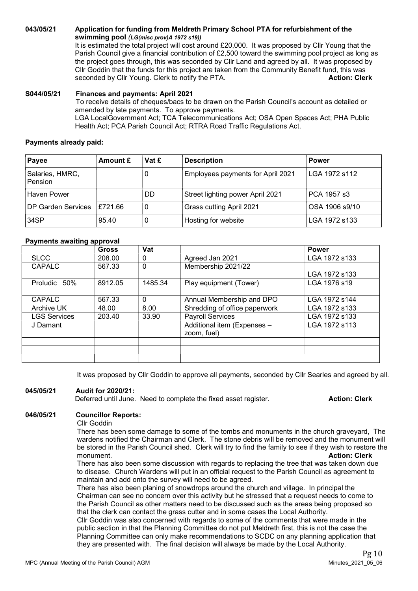043/05/21 Application for funding from Meldreth Primary School PTA for refurbishment of the swimming pool (LG(misc prov)A 1972 s19))

It is estimated the total project will cost around £20,000. It was proposed by Cllr Young that the Parish Council give a financial contribution of £2,500 toward the swimming pool project as long as the project goes through, this was seconded by Cllr Land and agreed by all. It was proposed by Cllr Goddin that the funds for this project are taken from the Community Benefit fund, this was<br>seconded by Cllr Young. Clerk to notify the PTA. seconded by Cllr Young. Clerk to notify the PTA.

#### S044/05/21 Finances and payments: April 2021

To receive details of cheques/bacs to be drawn on the Parish Council's account as detailed or amended by late payments. To approve payments. LGA LocalGovernment Act; TCA Telecommunications Act; OSA Open Spaces Act; PHA Public Health Act; PCA Parish Council Act; RTRA Road Traffic Regulations Act.

#### Payments already paid:

| Payee                      | Amount £ | Vat £                                  | <b>Description</b>                   | <b>Power</b>   |
|----------------------------|----------|----------------------------------------|--------------------------------------|----------------|
| Salaries, HMRC,<br>Pension |          | Employees payments for April 2021<br>O |                                      | LGA 1972 s112  |
| Haven Power                |          | DD                                     | Street lighting power April 2021     | PCA 1957 s3    |
| DP Garden Services         | £721.66  | 0                                      | Grass cutting April 2021             | OSA 1906 s9/10 |
| 34SP                       | 95.40    | 0                                      | Hosting for website<br>LGA 1972 s133 |                |

### Payments awaiting approval

|                     | <b>Gross</b> | Vat          |                               | <b>Power</b>  |
|---------------------|--------------|--------------|-------------------------------|---------------|
| <b>SLCC</b>         | 208.00       | 0            | Agreed Jan 2021               | LGA 1972 s133 |
| <b>CAPALC</b>       | 567.33       | $\mathbf{0}$ | Membership 2021/22            |               |
|                     |              |              |                               | LGA 1972 s133 |
| Proludic 50%        | 8912.05      | 1485.34      | Play equipment (Tower)        | LGA 1976 s19  |
|                     |              |              |                               |               |
| <b>CAPALC</b>       | 567.33       | $\Omega$     | Annual Membership and DPO     | LGA 1972 s144 |
| Archive UK          | 48.00        | 8.00         | Shredding of office paperwork | LGA 1972 s133 |
| <b>LGS Services</b> | 203.40       | 33.90        | <b>Payroll Services</b>       | LGA 1972 s133 |
| J Damant            |              |              | Additional item (Expenses -   | LGA 1972 s113 |
|                     |              |              | zoom, fuel)                   |               |
|                     |              |              |                               |               |
|                     |              |              |                               |               |
|                     |              |              |                               |               |

It was proposed by Cllr Goddin to approve all payments, seconded by Cllr Searles and agreed by all.

# 045/05/21 Audit for 2020/21:

Deferred until June. Need to complete the fixed asset register. **Action: Clerk** 

### 046/05/21 Councillor Reports:

Cllr Goddin

There has been some damage to some of the tombs and monuments in the church graveyard, The wardens notified the Chairman and Clerk. The stone debris will be removed and the monument will be stored in the Parish Council shed. Clerk will try to find the family to see if they wish to restore the monument. **Action: Clerk** 

There has also been some discussion with regards to replacing the tree that was taken down due to disease. Church Wardens will put in an official request to the Parish Council as agreement to maintain and add onto the survey will need to be agreed.

There has also been planing of snowdrops around the church and village. In principal the Chairman can see no concern over this activity but he stressed that a request needs to come to the Parish Council as other matters need to be discussed such as the areas being proposed so that the clerk can contact the grass cutter and in some cases the Local Authority.

Cllr Goddin was also concerned with regards to some of the comments that were made in the public section in that the Planning Committee do not put Meldreth first, this is not the case the Planning Committee can only make recommendations to SCDC on any planning application that they are presented with. The final decision will always be made by the Local Authority.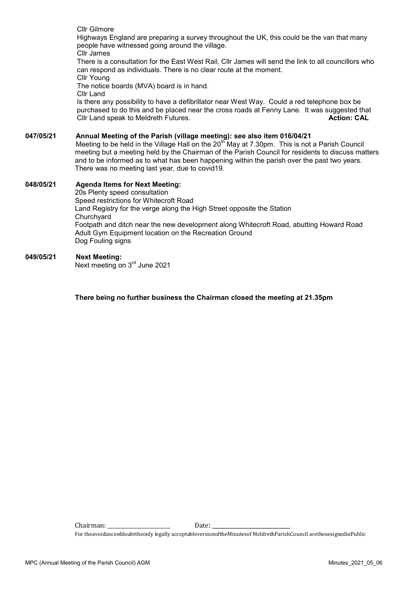|           | Cllr Gilmore<br>Highways England are preparing a survey throughout the UK, this could be the van that many<br>people have witnessed going around the village.<br>Cllr James                                                                                                                                                                                                                                                                  |
|-----------|----------------------------------------------------------------------------------------------------------------------------------------------------------------------------------------------------------------------------------------------------------------------------------------------------------------------------------------------------------------------------------------------------------------------------------------------|
|           | There is a consultation for the East West Rail, Cllr James will send the link to all councillors who<br>can respond as individuals. There is no clear route at the moment.<br>Cllr Young                                                                                                                                                                                                                                                     |
|           | The notice boards (MVA) board is in hand.                                                                                                                                                                                                                                                                                                                                                                                                    |
|           | Cllr Land<br>Is there any possibility to have a defibrillator near West Way. Could a red telephone box be<br>purchased to do this and be placed near the cross roads at Fenny Lane. It was suggested that<br>Cllr Land speak to Meldreth Futures.<br><b>Action: CAL</b>                                                                                                                                                                      |
| 047/05/21 | Annual Meeting of the Parish (village meeting): see also item 016/04/21<br>Meeting to be held in the Village Hall on the 20 <sup>th</sup> May at 7.30pm. This is not a Parish Council<br>meeting but a meeting held by the Chairman of the Parish Council for residents to discuss matters<br>and to be informed as to what has been happening within the parish over the past two years.<br>There was no meeting last year, due to covid19. |
| 048/05/21 | <b>Agenda Items for Next Meeting:</b><br>20s Plenty speed consultation<br>Speed restrictions for Whitecroft Road<br>Land Registry for the verge along the High Street opposite the Station                                                                                                                                                                                                                                                   |
|           | Churchyard<br>Footpath and ditch near the new development along Whitecroft Road, abutting Howard Road<br>Adult Gym Equipment location on the Recreation Ground<br>Dog Fouling signs                                                                                                                                                                                                                                                          |
| 049/05/21 | <b>Next Meeting:</b><br>Next meeting on 3 <sup>rd</sup> June 2021                                                                                                                                                                                                                                                                                                                                                                            |

There being no further business the Chairman closed the meeting at 21.35pm

Chairman: \_\_\_\_\_\_\_\_\_\_\_\_\_\_\_\_\_\_\_\_\_\_\_\_ Date: \_\_\_\_\_\_\_\_\_\_\_\_\_\_\_\_\_\_\_\_\_\_\_\_\_ For theavoidanceofdoubttheonly legally acceptableversionoftheMinutesof MeldrethParishCouncil arethosesignedinPublic